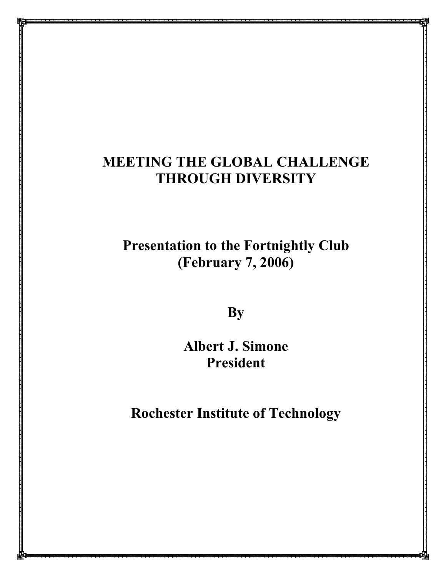# **MEETING THE GLOBAL CHALLENGE THROUGH DIVERSITY**

# **Presentation to the Fortnightly Club (February 7, 2006)**

**By**

**Albert J. Simone President**

**Rochester Institute of Technology**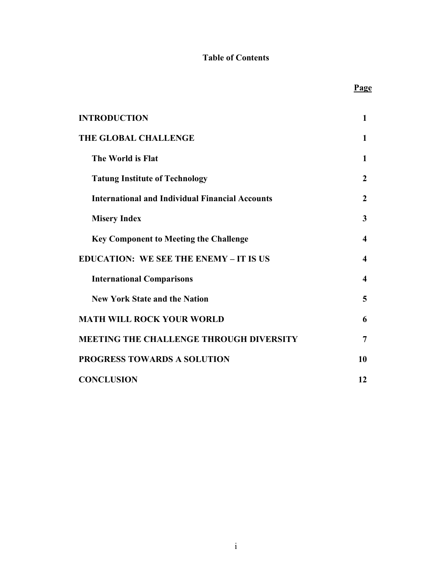## **Table of Contents**

**Page**

| <b>INTRODUCTION</b>                                    | $\mathbf{1}$            |
|--------------------------------------------------------|-------------------------|
| <b>THE GLOBAL CHALLENGE</b>                            | 1                       |
| The World is Flat                                      | $\mathbf{1}$            |
| <b>Tatung Institute of Technology</b>                  | $\boldsymbol{2}$        |
| <b>International and Individual Financial Accounts</b> | $\overline{2}$          |
| <b>Misery Index</b>                                    | 3                       |
| <b>Key Component to Meeting the Challenge</b>          | $\boldsymbol{4}$        |
| <b>EDUCATION: WE SEE THE ENEMY - IT IS US</b>          | $\overline{\mathbf{4}}$ |
| <b>International Comparisons</b>                       | $\overline{\mathbf{4}}$ |
| <b>New York State and the Nation</b>                   | 5                       |
| <b>MATH WILL ROCK YOUR WORLD</b>                       | 6                       |
| <b>MEETING THE CHALLENGE THROUGH DIVERSITY</b>         | 7                       |
| PROGRESS TOWARDS A SOLUTION                            | 10                      |
| <b>CONCLUSION</b>                                      | 12                      |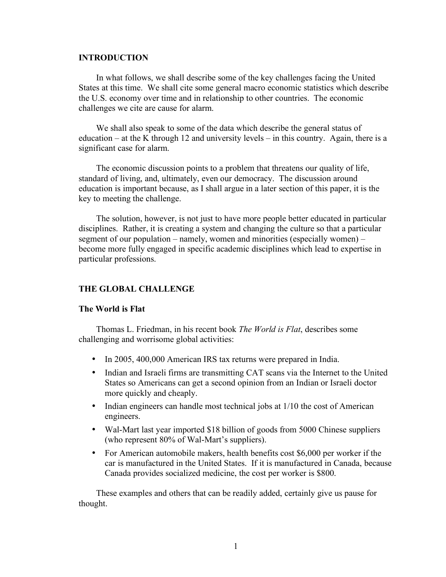#### **INTRODUCTION**

In what follows, we shall describe some of the key challenges facing the United States at this time. We shall cite some general macro economic statistics which describe the U.S. economy over time and in relationship to other countries. The economic challenges we cite are cause for alarm.

We shall also speak to some of the data which describe the general status of education – at the K through 12 and university levels – in this country. Again, there is a significant case for alarm.

The economic discussion points to a problem that threatens our quality of life, standard of living, and, ultimately, even our democracy. The discussion around education is important because, as I shall argue in a later section of this paper, it is the key to meeting the challenge.

The solution, however, is not just to have more people better educated in particular disciplines. Rather, it is creating a system and changing the culture so that a particular segment of our population – namely, women and minorities (especially women) – become more fully engaged in specific academic disciplines which lead to expertise in particular professions.

#### **THE GLOBAL CHALLENGE**

#### **The World is Flat**

Thomas L. Friedman, in his recent book *The World is Flat*, describes some challenging and worrisome global activities:

- In 2005, 400,000 American IRS tax returns were prepared in India.
- Indian and Israeli firms are transmitting CAT scans via the Internet to the United States so Americans can get a second opinion from an Indian or Israeli doctor more quickly and cheaply.
- Indian engineers can handle most technical jobs at 1/10 the cost of American engineers.
- Wal-Mart last year imported \$18 billion of goods from 5000 Chinese suppliers (who represent 80% of Wal-Mart's suppliers).
- For American automobile makers, health benefits cost \$6,000 per worker if the car is manufactured in the United States. If it is manufactured in Canada, because Canada provides socialized medicine, the cost per worker is \$800.

These examples and others that can be readily added, certainly give us pause for thought.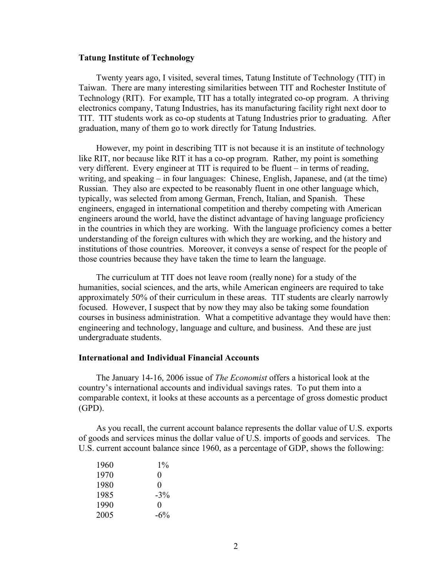#### **Tatung Institute of Technology**

Twenty years ago, I visited, several times, Tatung Institute of Technology (TIT) in Taiwan. There are many interesting similarities between TIT and Rochester Institute of Technology (RIT). For example, TIT has a totally integrated co-op program. A thriving electronics company, Tatung Industries, has its manufacturing facility right next door to TIT. TIT students work as co-op students at Tatung Industries prior to graduating. After graduation, many of them go to work directly for Tatung Industries.

However, my point in describing TIT is not because it is an institute of technology like RIT, nor because like RIT it has a co-op program. Rather, my point is something very different. Every engineer at TIT is required to be fluent – in terms of reading, writing, and speaking – in four languages: Chinese, English, Japanese, and (at the time) Russian. They also are expected to be reasonably fluent in one other language which, typically, was selected from among German, French, Italian, and Spanish. These engineers, engaged in international competition and thereby competing with American engineers around the world, have the distinct advantage of having language proficiency in the countries in which they are working. With the language proficiency comes a better understanding of the foreign cultures with which they are working, and the history and institutions of those countries. Moreover, it conveys a sense of respect for the people of those countries because they have taken the time to learn the language.

The curriculum at TIT does not leave room (really none) for a study of the humanities, social sciences, and the arts, while American engineers are required to take approximately 50% of their curriculum in these areas. TIT students are clearly narrowly focused. However, I suspect that by now they may also be taking some foundation courses in business administration. What a competitive advantage they would have then: engineering and technology, language and culture, and business. And these are just undergraduate students.

#### **International and Individual Financial Accounts**

The January 14-16, 2006 issue of *The Economist* offers a historical look at the country's international accounts and individual savings rates. To put them into a comparable context, it looks at these accounts as a percentage of gross domestic product (GPD).

As you recall, the current account balance represents the dollar value of U.S. exports of goods and services minus the dollar value of U.S. imports of goods and services. The U.S. current account balance since 1960, as a percentage of GDP, shows the following:

| 1960 | $1\%$    |
|------|----------|
| 1970 | 0        |
| 1980 | $\Omega$ |
| 1985 | $-3\%$   |
| 1990 | $\Omega$ |
| 2005 | $-6\%$   |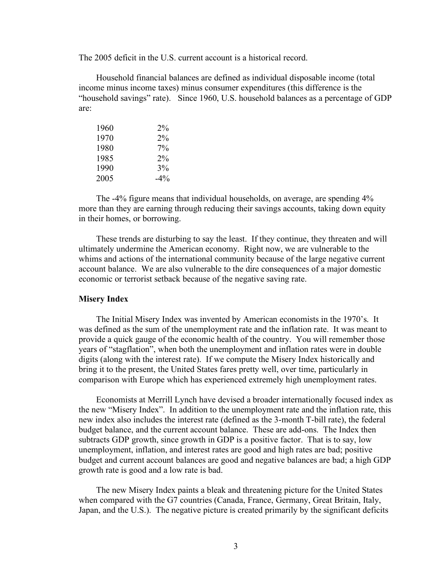The 2005 deficit in the U.S. current account is a historical record.

Household financial balances are defined as individual disposable income (total income minus income taxes) minus consumer expenditures (this difference is the "household savings" rate). Since 1960, U.S. household balances as a percentage of GDP are:

| 1960 | $2\%$  |
|------|--------|
| 1970 | $2\%$  |
| 1980 | $7\%$  |
| 1985 | $2\%$  |
| 1990 | 3%     |
| 2005 | $-4\%$ |

The -4% figure means that individual households, on average, are spending 4% more than they are earning through reducing their savings accounts, taking down equity in their homes, or borrowing.

These trends are disturbing to say the least. If they continue, they threaten and will ultimately undermine the American economy. Right now, we are vulnerable to the whims and actions of the international community because of the large negative current account balance. We are also vulnerable to the dire consequences of a major domestic economic or terrorist setback because of the negative saving rate.

#### **Misery Index**

The Initial Misery Index was invented by American economists in the 1970's. It was defined as the sum of the unemployment rate and the inflation rate. It was meant to provide a quick gauge of the economic health of the country. You will remember those years of "stagflation", when both the unemployment and inflation rates were in double digits (along with the interest rate). If we compute the Misery Index historically and bring it to the present, the United States fares pretty well, over time, particularly in comparison with Europe which has experienced extremely high unemployment rates.

Economists at Merrill Lynch have devised a broader internationally focused index as the new "Misery Index". In addition to the unemployment rate and the inflation rate, this new index also includes the interest rate (defined as the 3-month T-bill rate), the federal budget balance, and the current account balance. These are add-ons. The Index then subtracts GDP growth, since growth in GDP is a positive factor. That is to say, low unemployment, inflation, and interest rates are good and high rates are bad; positive budget and current account balances are good and negative balances are bad; a high GDP growth rate is good and a low rate is bad.

The new Misery Index paints a bleak and threatening picture for the United States when compared with the G7 countries (Canada, France, Germany, Great Britain, Italy, Japan, and the U.S.). The negative picture is created primarily by the significant deficits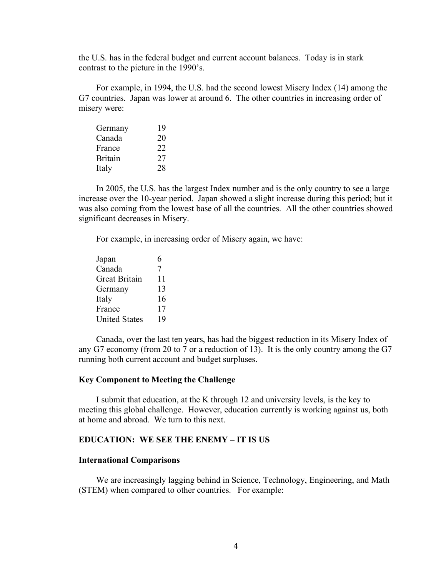the U.S. has in the federal budget and current account balances. Today is in stark contrast to the picture in the 1990's.

For example, in 1994, the U.S. had the second lowest Misery Index (14) among the G7 countries. Japan was lower at around 6. The other countries in increasing order of misery were:

| Germany        | 19 |
|----------------|----|
| Canada         | 20 |
| France         | 22 |
| <b>Britain</b> | 27 |
| Italy          | 28 |

In 2005, the U.S. has the largest Index number and is the only country to see a large increase over the 10-year period. Japan showed a slight increase during this period; but it was also coming from the lowest base of all the countries. All the other countries showed significant decreases in Misery.

For example, in increasing order of Misery again, we have:

| Japan                | 6  |
|----------------------|----|
| Canada               | 7  |
| Great Britain        | 11 |
| Germany              | 13 |
| Italy                | 16 |
| France               | 17 |
| <b>United States</b> | 19 |

Canada, over the last ten years, has had the biggest reduction in its Misery Index of any G7 economy (from 20 to 7 or a reduction of 13). It is the only country among the G7 running both current account and budget surpluses.

#### **Key Component to Meeting the Challenge**

I submit that education, at the K through 12 and university levels, is the key to meeting this global challenge. However, education currently is working against us, both at home and abroad. We turn to this next.

#### **EDUCATION: WE SEE THE ENEMY – IT IS US**

#### **International Comparisons**

We are increasingly lagging behind in Science, Technology, Engineering, and Math (STEM) when compared to other countries. For example: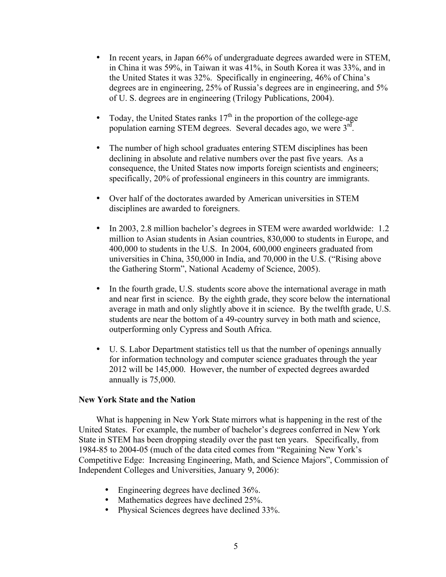- In recent years, in Japan 66% of undergraduate degrees awarded were in STEM, in China it was 59%, in Taiwan it was 41%, in South Korea it was 33%, and in the United States it was 32%. Specifically in engineering, 46% of China's degrees are in engineering, 25% of Russia's degrees are in engineering, and 5% of U. S. degrees are in engineering (Trilogy Publications, 2004).
- Today, the United States ranks  $17<sup>th</sup>$  in the proportion of the college-age population earning STEM degrees. Several decades ago, we were 3rd.
- The number of high school graduates entering STEM disciplines has been declining in absolute and relative numbers over the past five years. As a consequence, the United States now imports foreign scientists and engineers; specifically, 20% of professional engineers in this country are immigrants.
- Over half of the doctorates awarded by American universities in STEM disciplines are awarded to foreigners.
- In 2003, 2.8 million bachelor's degrees in STEM were awarded worldwide: 1.2 million to Asian students in Asian countries, 830,000 to students in Europe, and 400,000 to students in the U.S. In 2004, 600,000 engineers graduated from universities in China, 350,000 in India, and 70,000 in the U.S. ("Rising above the Gathering Storm", National Academy of Science, 2005).
- In the fourth grade, U.S. students score above the international average in math and near first in science. By the eighth grade, they score below the international average in math and only slightly above it in science. By the twelfth grade, U.S. students are near the bottom of a 49-country survey in both math and science, outperforming only Cypress and South Africa.
- U. S. Labor Department statistics tell us that the number of openings annually for information technology and computer science graduates through the year 2012 will be 145,000. However, the number of expected degrees awarded annually is 75,000.

#### **New York State and the Nation**

What is happening in New York State mirrors what is happening in the rest of the United States. For example, the number of bachelor's degrees conferred in New York State in STEM has been dropping steadily over the past ten years. Specifically, from 1984-85 to 2004-05 (much of the data cited comes from "Regaining New York's Competitive Edge: Increasing Engineering, Math, and Science Majors", Commission of Independent Colleges and Universities, January 9, 2006):

- Engineering degrees have declined 36%.
- Mathematics degrees have declined 25%.
- Physical Sciences degrees have declined 33%.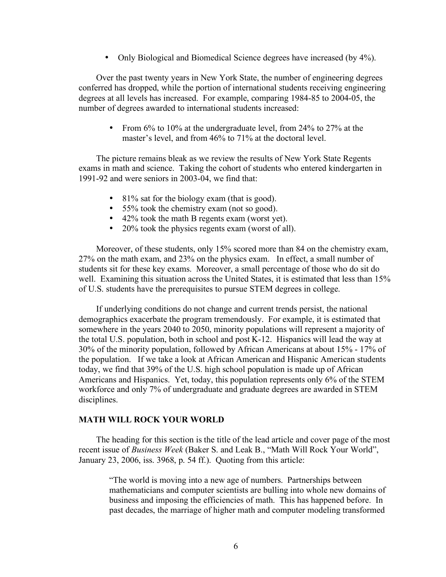• Only Biological and Biomedical Science degrees have increased (by 4%).

Over the past twenty years in New York State, the number of engineering degrees conferred has dropped, while the portion of international students receiving engineering degrees at all levels has increased. For example, comparing 1984-85 to 2004-05, the number of degrees awarded to international students increased:

• From 6% to 10% at the undergraduate level, from 24% to 27% at the master's level, and from 46% to 71% at the doctoral level.

The picture remains bleak as we review the results of New York State Regents exams in math and science. Taking the cohort of students who entered kindergarten in 1991-92 and were seniors in 2003-04, we find that:

- 81% sat for the biology exam (that is good).
- 55% took the chemistry exam (not so good).
- 42% took the math B regents exam (worst yet).
- 20% took the physics regents exam (worst of all).

Moreover, of these students, only 15% scored more than 84 on the chemistry exam, 27% on the math exam, and 23% on the physics exam. In effect, a small number of students sit for these key exams. Moreover, a small percentage of those who do sit do well. Examining this situation across the United States, it is estimated that less than 15% of U.S. students have the prerequisites to pursue STEM degrees in college.

If underlying conditions do not change and current trends persist, the national demographics exacerbate the program tremendously. For example, it is estimated that somewhere in the years 2040 to 2050, minority populations will represent a majority of the total U.S. population, both in school and post K-12. Hispanics will lead the way at 30% of the minority population, followed by African Americans at about 15% - 17% of the population. If we take a look at African American and Hispanic American students today, we find that 39% of the U.S. high school population is made up of African Americans and Hispanics. Yet, today, this population represents only 6% of the STEM workforce and only 7% of undergraduate and graduate degrees are awarded in STEM disciplines.

#### **MATH WILL ROCK YOUR WORLD**

The heading for this section is the title of the lead article and cover page of the most recent issue of *Business Week* (Baker S. and Leak B., "Math Will Rock Your World", January 23, 2006, iss. 3968, p. 54 ff.). Quoting from this article:

"The world is moving into a new age of numbers. Partnerships between mathematicians and computer scientists are bulling into whole new domains of business and imposing the efficiencies of math. This has happened before. In past decades, the marriage of higher math and computer modeling transformed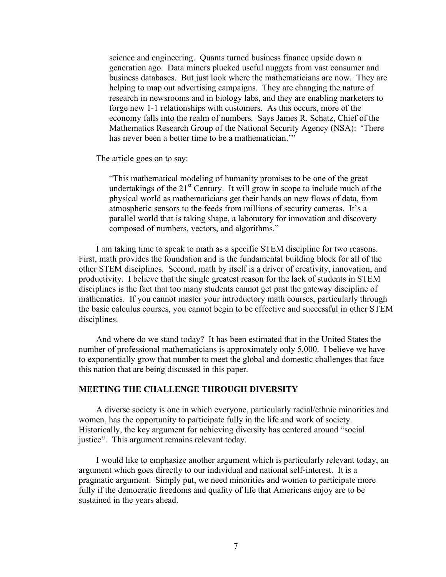science and engineering. Quants turned business finance upside down a generation ago. Data miners plucked useful nuggets from vast consumer and business databases. But just look where the mathematicians are now. They are helping to map out advertising campaigns. They are changing the nature of research in newsrooms and in biology labs, and they are enabling marketers to forge new 1-1 relationships with customers. As this occurs, more of the economy falls into the realm of numbers. Says James R. Schatz, Chief of the Mathematics Research Group of the National Security Agency (NSA): 'There has never been a better time to be a mathematician."

The article goes on to say:

"This mathematical modeling of humanity promises to be one of the great undertakings of the  $21^{st}$  Century. It will grow in scope to include much of the physical world as mathematicians get their hands on new flows of data, from atmospheric sensors to the feeds from millions of security cameras. It's a parallel world that is taking shape, a laboratory for innovation and discovery composed of numbers, vectors, and algorithms."

I am taking time to speak to math as a specific STEM discipline for two reasons. First, math provides the foundation and is the fundamental building block for all of the other STEM disciplines. Second, math by itself is a driver of creativity, innovation, and productivity. I believe that the single greatest reason for the lack of students in STEM disciplines is the fact that too many students cannot get past the gateway discipline of mathematics. If you cannot master your introductory math courses, particularly through the basic calculus courses, you cannot begin to be effective and successful in other STEM disciplines.

And where do we stand today? It has been estimated that in the United States the number of professional mathematicians is approximately only 5,000. I believe we have to exponentially grow that number to meet the global and domestic challenges that face this nation that are being discussed in this paper.

### **MEETING THE CHALLENGE THROUGH DIVERSITY**

A diverse society is one in which everyone, particularly racial/ethnic minorities and women, has the opportunity to participate fully in the life and work of society. Historically, the key argument for achieving diversity has centered around "social justice". This argument remains relevant today.

I would like to emphasize another argument which is particularly relevant today, an argument which goes directly to our individual and national self-interest. It is a pragmatic argument. Simply put, we need minorities and women to participate more fully if the democratic freedoms and quality of life that Americans enjoy are to be sustained in the years ahead.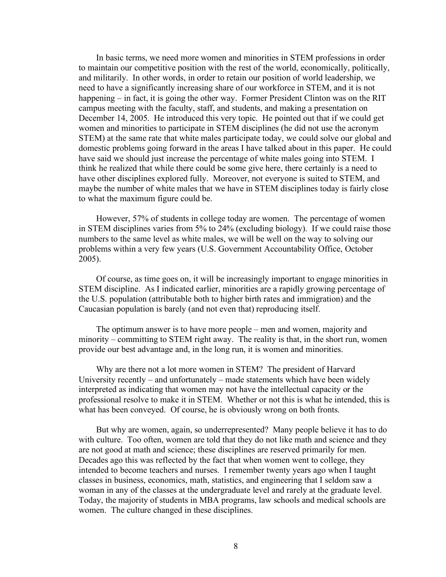In basic terms, we need more women and minorities in STEM professions in order to maintain our competitive position with the rest of the world, economically, politically, and militarily. In other words, in order to retain our position of world leadership, we need to have a significantly increasing share of our workforce in STEM, and it is not happening – in fact, it is going the other way. Former President Clinton was on the RIT campus meeting with the faculty, staff, and students, and making a presentation on December 14, 2005. He introduced this very topic. He pointed out that if we could get women and minorities to participate in STEM disciplines (he did not use the acronym STEM) at the same rate that white males participate today, we could solve our global and domestic problems going forward in the areas I have talked about in this paper. He could have said we should just increase the percentage of white males going into STEM. I think he realized that while there could be some give here, there certainly is a need to have other disciplines explored fully. Moreover, not everyone is suited to STEM, and maybe the number of white males that we have in STEM disciplines today is fairly close to what the maximum figure could be.

However, 57% of students in college today are women. The percentage of women in STEM disciplines varies from 5% to 24% (excluding biology). If we could raise those numbers to the same level as white males, we will be well on the way to solving our problems within a very few years (U.S. Government Accountability Office, October 2005).

Of course, as time goes on, it will be increasingly important to engage minorities in STEM discipline. As I indicated earlier, minorities are a rapidly growing percentage of the U.S. population (attributable both to higher birth rates and immigration) and the Caucasian population is barely (and not even that) reproducing itself.

The optimum answer is to have more people – men and women, majority and minority – committing to STEM right away. The reality is that, in the short run, women provide our best advantage and, in the long run, it is women and minorities.

Why are there not a lot more women in STEM? The president of Harvard University recently – and unfortunately – made statements which have been widely interpreted as indicating that women may not have the intellectual capacity or the professional resolve to make it in STEM. Whether or not this is what he intended, this is what has been conveyed. Of course, he is obviously wrong on both fronts.

But why are women, again, so underrepresented? Many people believe it has to do with culture. Too often, women are told that they do not like math and science and they are not good at math and science; these disciplines are reserved primarily for men. Decades ago this was reflected by the fact that when women went to college, they intended to become teachers and nurses. I remember twenty years ago when I taught classes in business, economics, math, statistics, and engineering that I seldom saw a woman in any of the classes at the undergraduate level and rarely at the graduate level. Today, the majority of students in MBA programs, law schools and medical schools are women. The culture changed in these disciplines.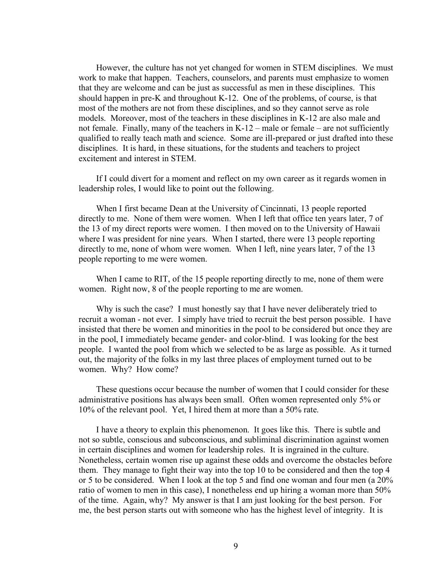However, the culture has not yet changed for women in STEM disciplines. We must work to make that happen. Teachers, counselors, and parents must emphasize to women that they are welcome and can be just as successful as men in these disciplines. This should happen in pre-K and throughout K-12. One of the problems, of course, is that most of the mothers are not from these disciplines, and so they cannot serve as role models. Moreover, most of the teachers in these disciplines in K-12 are also male and not female. Finally, many of the teachers in K-12 – male or female – are not sufficiently qualified to really teach math and science. Some are ill-prepared or just drafted into these disciplines. It is hard, in these situations, for the students and teachers to project excitement and interest in STEM.

If I could divert for a moment and reflect on my own career as it regards women in leadership roles, I would like to point out the following.

When I first became Dean at the University of Cincinnati, 13 people reported directly to me. None of them were women. When I left that office ten years later, 7 of the 13 of my direct reports were women. I then moved on to the University of Hawaii where I was president for nine years. When I started, there were 13 people reporting directly to me, none of whom were women. When I left, nine years later, 7 of the 13 people reporting to me were women.

When I came to RIT, of the 15 people reporting directly to me, none of them were women. Right now, 8 of the people reporting to me are women.

Why is such the case? I must honestly say that I have never deliberately tried to recruit a woman - not ever. I simply have tried to recruit the best person possible. I have insisted that there be women and minorities in the pool to be considered but once they are in the pool, I immediately became gender- and color-blind. I was looking for the best people. I wanted the pool from which we selected to be as large as possible. As it turned out, the majority of the folks in my last three places of employment turned out to be women. Why? How come?

These questions occur because the number of women that I could consider for these administrative positions has always been small. Often women represented only 5% or 10% of the relevant pool. Yet, I hired them at more than a 50% rate.

I have a theory to explain this phenomenon. It goes like this. There is subtle and not so subtle, conscious and subconscious, and subliminal discrimination against women in certain disciplines and women for leadership roles. It is ingrained in the culture. Nonetheless, certain women rise up against these odds and overcome the obstacles before them. They manage to fight their way into the top 10 to be considered and then the top 4 or 5 to be considered. When I look at the top 5 and find one woman and four men (a 20% ratio of women to men in this case), I nonetheless end up hiring a woman more than 50% of the time. Again, why? My answer is that I am just looking for the best person. For me, the best person starts out with someone who has the highest level of integrity. It is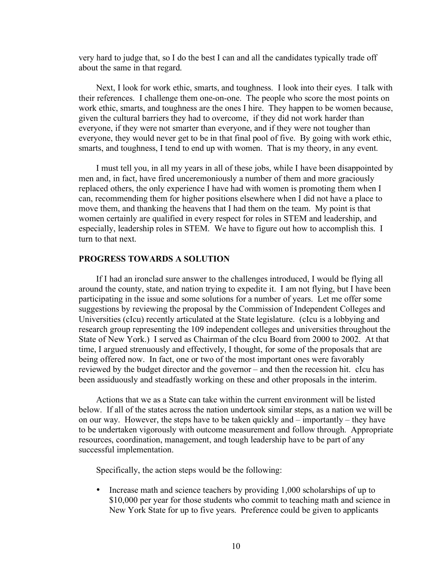very hard to judge that, so I do the best I can and all the candidates typically trade off about the same in that regard.

Next, I look for work ethic, smarts, and toughness. I look into their eyes. I talk with their references. I challenge them one-on-one. The people who score the most points on work ethic, smarts, and toughness are the ones I hire. They happen to be women because, given the cultural barriers they had to overcome, if they did not work harder than everyone, if they were not smarter than everyone, and if they were not tougher than everyone, they would never get to be in that final pool of five. By going with work ethic, smarts, and toughness, I tend to end up with women. That is my theory, in any event.

I must tell you, in all my years in all of these jobs, while I have been disappointed by men and, in fact, have fired unceremoniously a number of them and more graciously replaced others, the only experience I have had with women is promoting them when I can, recommending them for higher positions elsewhere when I did not have a place to move them, and thanking the heavens that I had them on the team. My point is that women certainly are qualified in every respect for roles in STEM and leadership, and especially, leadership roles in STEM. We have to figure out how to accomplish this. I turn to that next.

#### **PROGRESS TOWARDS A SOLUTION**

If I had an ironclad sure answer to the challenges introduced, I would be flying all around the county, state, and nation trying to expedite it. I am not flying, but I have been participating in the issue and some solutions for a number of years. Let me offer some suggestions by reviewing the proposal by the Commission of Independent Colleges and Universities (cIcu) recently articulated at the State legislature. (cIcu is a lobbying and research group representing the 109 independent colleges and universities throughout the State of New York.) I served as Chairman of the cIcu Board from 2000 to 2002. At that time, I argued strenuously and effectively, I thought, for some of the proposals that are being offered now. In fact, one or two of the most important ones were favorably reviewed by the budget director and the governor – and then the recession hit. cIcu has been assiduously and steadfastly working on these and other proposals in the interim.

Actions that we as a State can take within the current environment will be listed below. If all of the states across the nation undertook similar steps, as a nation we will be on our way. However, the steps have to be taken quickly and – importantly – they have to be undertaken vigorously with outcome measurement and follow through. Appropriate resources, coordination, management, and tough leadership have to be part of any successful implementation.

Specifically, the action steps would be the following:

• Increase math and science teachers by providing 1,000 scholarships of up to \$10,000 per year for those students who commit to teaching math and science in New York State for up to five years. Preference could be given to applicants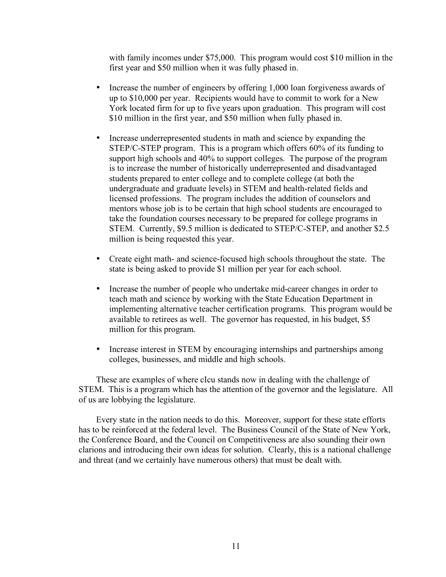with family incomes under \$75,000. This program would cost \$10 million in the first year and \$50 million when it was fully phased in.

- Increase the number of engineers by offering 1,000 loan forgiveness awards of up to \$10,000 per year. Recipients would have to commit to work for a New York located firm for up to five years upon graduation. This program will cost \$10 million in the first year, and \$50 million when fully phased in.
- Increase underrepresented students in math and science by expanding the STEP/C-STEP program. This is a program which offers 60% of its funding to support high schools and 40% to support colleges. The purpose of the program is to increase the number of historically underrepresented and disadvantaged students prepared to enter college and to complete college (at both the undergraduate and graduate levels) in STEM and health-related fields and licensed professions. The program includes the addition of counselors and mentors whose job is to be certain that high school students are encouraged to take the foundation courses necessary to be prepared for college programs in STEM. Currently, \$9.5 million is dedicated to STEP/C-STEP, and another \$2.5 million is being requested this year.
- Create eight math- and science-focused high schools throughout the state. The state is being asked to provide \$1 million per year for each school.
- Increase the number of people who undertake mid-career changes in order to teach math and science by working with the State Education Department in implementing alternative teacher certification programs. This program would be available to retirees as well. The governor has requested, in his budget, \$5 million for this program.
- Increase interest in STEM by encouraging internships and partnerships among colleges, businesses, and middle and high schools.

These are examples of where cIcu stands now in dealing with the challenge of STEM. This is a program which has the attention of the governor and the legislature. All of us are lobbying the legislature.

Every state in the nation needs to do this. Moreover, support for these state efforts has to be reinforced at the federal level. The Business Council of the State of New York, the Conference Board, and the Council on Competitiveness are also sounding their own clarions and introducing their own ideas for solution. Clearly, this is a national challenge and threat (and we certainly have numerous others) that must be dealt with.